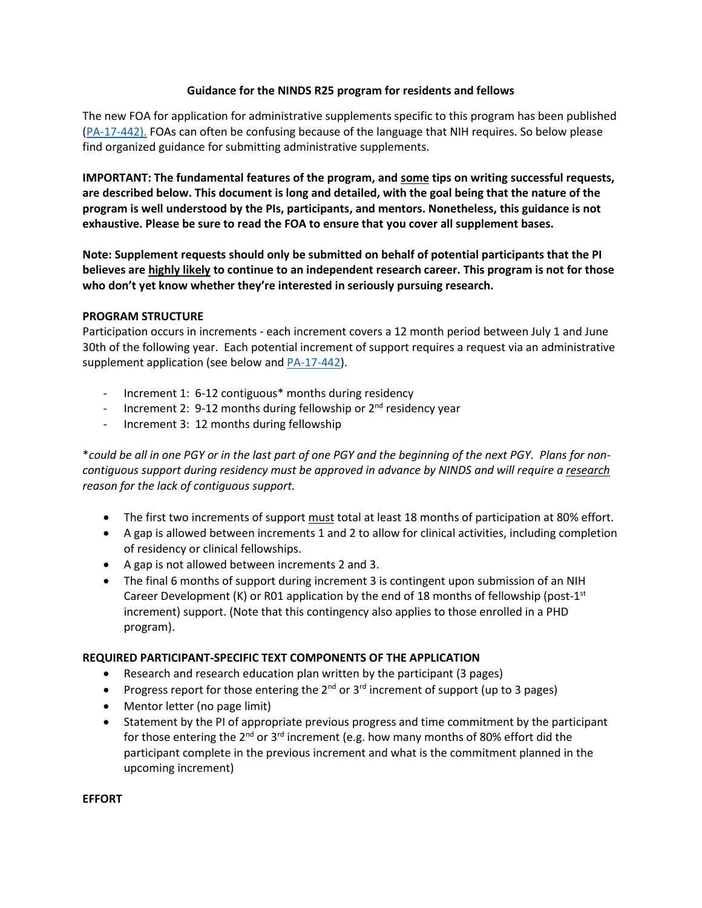### **Guidance for the NINDS R25 program for residents and fellows**

The new FOA for application for administrative supplements specific to this program has been published [\(PA-17-442\)](https://grants.nih.gov/grants/guide/pa-files/PA-17-442.html). FOAs can often be confusing because of the language that NIH requires. So below please find organized guidance for submitting administrative supplements.

**IMPORTANT: The fundamental features of the program, and some tips on writing successful requests, are described below. This document is long and detailed, with the goal being that the nature of the program is well understood by the PIs, participants, and mentors. Nonetheless, this guidance is not exhaustive. Please be sure to read the FOA to ensure that you cover all supplement bases.**

**Note: Supplement requests should only be submitted on behalf of potential participants that the PI believes are highly likely to continue to an independent research career. This program is not for those who don't yet know whether they're interested in seriously pursuing research.**

#### **PROGRAM STRUCTURE**

Participation occurs in increments - each increment covers a 12 month period between July 1 and June 30th of the following year. Each potential increment of support requires a request via an administrative supplement application (see below and [PA-17-442\)](https://grants.nih.gov/grants/guide/pa-files/PA-17-442.html).

- Increment 1: 6-12 contiguous<sup>\*</sup> months during residency
- Increment 2: 9-12 months during fellowship or  $2^{nd}$  residency year
- Increment 3: 12 months during fellowship

\**could be all in one PGY or in the last part of one PGY and the beginning of the next PGY. Plans for noncontiguous support during residency must be approved in advance by NINDS and will require a research reason for the lack of contiguous support.*

- The first two increments of support must total at least 18 months of participation at 80% effort.
- A gap is allowed between increments 1 and 2 to allow for clinical activities, including completion of residency or clinical fellowships.
- A gap is not allowed between increments 2 and 3.
- The final 6 months of support during increment 3 is contingent upon submission of an NIH Career Development (K) or R01 application by the end of 18 months of fellowship (post-1st increment) support. (Note that this contingency also applies to those enrolled in a PHD program).

### **REQUIRED PARTICIPANT-SPECIFIC TEXT COMPONENTS OF THE APPLICATION**

- Research and research education plan written by the participant (3 pages)
- Progress report for those entering the  $2^{nd}$  or  $3^{rd}$  increment of support (up to 3 pages)
- Mentor letter (no page limit)
- Statement by the PI of appropriate previous progress and time commitment by the participant for those entering the  $2^{nd}$  or  $3^{rd}$  increment (e.g. how many months of 80% effort did the participant complete in the previous increment and what is the commitment planned in the upcoming increment)

**EFFORT**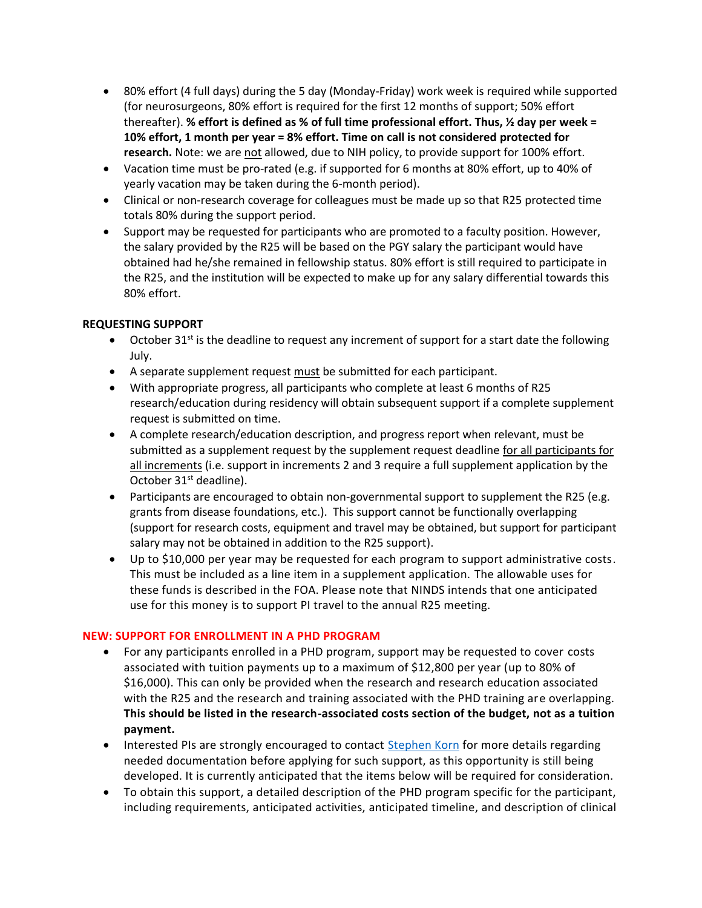- 80% effort (4 full days) during the 5 day (Monday-Friday) work week is required while supported (for neurosurgeons, 80% effort is required for the first 12 months of support; 50% effort thereafter). **% effort is defined as % of full time professional effort. Thus, ½ day per week = 10% effort, 1 month per year = 8% effort. Time on call is not considered protected for research.** Note: we are not allowed, due to NIH policy, to provide support for 100% effort.
- Vacation time must be pro-rated (e.g. if supported for 6 months at 80% effort, up to 40% of yearly vacation may be taken during the 6-month period).
- Clinical or non-research coverage for colleagues must be made up so that R25 protected time totals 80% during the support period.
- Support may be requested for participants who are promoted to a faculty position. However, the salary provided by the R25 will be based on the PGY salary the participant would have obtained had he/she remained in fellowship status. 80% effort is still required to participate in the R25, and the institution will be expected to make up for any salary differential towards this 80% effort.

## **REQUESTING SUPPORT**

- October 31<sup>st</sup> is the deadline to request any increment of support for a start date the following July.
- A separate supplement request must be submitted for each participant.
- With appropriate progress, all participants who complete at least 6 months of R25 research/education during residency will obtain subsequent support if a complete supplement request is submitted on time.
- A complete research/education description, and progress report when relevant, must be submitted as a supplement request by the supplement request deadline for all participants for all increments (i.e. support in increments 2 and 3 require a full supplement application by the October 31<sup>st</sup> deadline).
- Participants are encouraged to obtain non-governmental support to supplement the R25 (e.g. grants from disease foundations, etc.). This support cannot be functionally overlapping (support for research costs, equipment and travel may be obtained, but support for participant salary may not be obtained in addition to the R25 support).
- Up to \$10,000 per year may be requested for each program to support administrative costs. This must be included as a line item in a supplement application. The allowable uses for these funds is described in the FOA. Please note that NINDS intends that one anticipated use for this money is to support PI travel to the annual R25 meeting.

### **NEW: SUPPORT FOR ENROLLMENT IN A PHD PROGRAM**

- For any participants enrolled in a PHD program, support may be requested to cover costs associated with tuition payments up to a maximum of \$12,800 per year (up to 80% of \$16,000). This can only be provided when the research and research education associated with the R25 and the research and training associated with the PHD training are overlapping. **This should be listed in the research-associated costs section of the budget, not as a tuition payment.**
- Interested PIs are strongly encouraged to contact [Stephen Korn](mailto:korns@ninds.nih.gov) for more details regarding needed documentation before applying for such support, as this opportunity is still being developed. It is currently anticipated that the items below will be required for consideration.
- To obtain this support, a detailed description of the PHD program specific for the participant, including requirements, anticipated activities, anticipated timeline, and description of clinical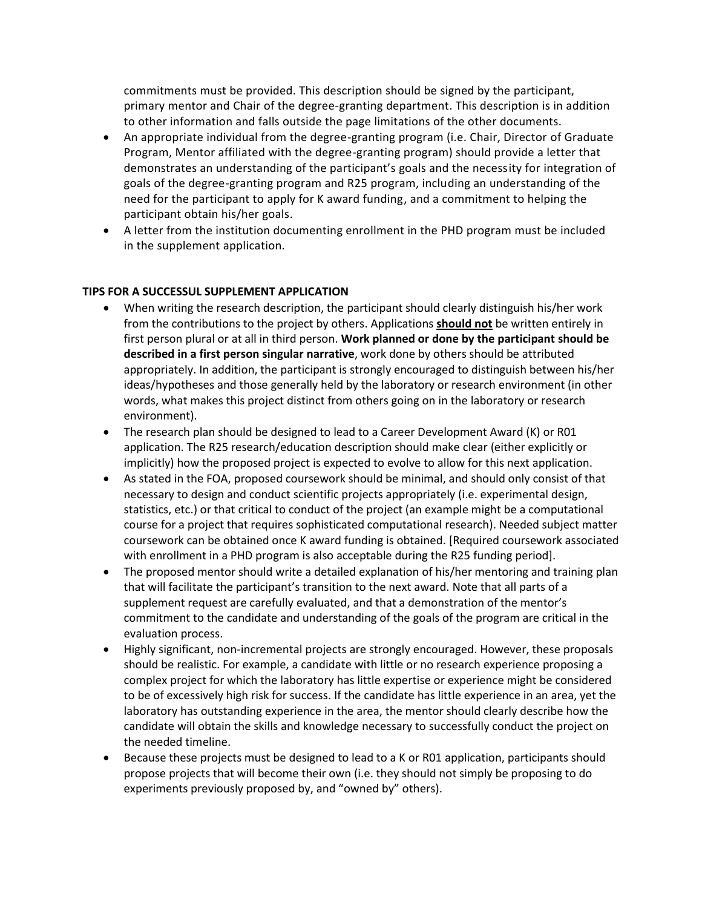commitments must be provided. This description should be signed by the participant, primary mentor and Chair of the degree-granting department. This description is in addition to other information and falls outside the page limitations of the other documents.

- An appropriate individual from the degree-granting program (i.e. Chair, Director of Graduate Program, Mentor affiliated with the degree-granting program) should provide a letter that demonstrates an understanding of the participant's goals and the necessity for integration of goals of the degree-granting program and R25 program, including an understanding of the need for the participant to apply for K award funding, and a commitment to helping the participant obtain his/her goals.
- A letter from the institution documenting enrollment in the PHD program must be included in the supplement application.

### **TIPS FOR A SUCCESSUL SUPPLEMENT APPLICATION**

- When writing the research description, the participant should clearly distinguish his/her work from the contributions to the project by others. Applications **should not** be written entirely in first person plural or at all in third person. **Work planned or done by the participant should be described in a first person singular narrative**, work done by others should be attributed appropriately. In addition, the participant is strongly encouraged to distinguish between his/her ideas/hypotheses and those generally held by the laboratory or research environment (in other words, what makes this project distinct from others going on in the laboratory or research environment).
- The research plan should be designed to lead to a Career Development Award (K) or R01 application. The R25 research/education description should make clear (either explicitly or implicitly) how the proposed project is expected to evolve to allow for this next application.
- As stated in the FOA, proposed coursework should be minimal, and should only consist of that necessary to design and conduct scientific projects appropriately (i.e. experimental design, statistics, etc.) or that critical to conduct of the project (an example might be a computational course for a project that requires sophisticated computational research). Needed subject matter coursework can be obtained once K award funding is obtained. [Required coursework associated with enrollment in a PHD program is also acceptable during the R25 funding period].
- The proposed mentor should write a detailed explanation of his/her mentoring and training plan that will facilitate the participant's transition to the next award. Note that all parts of a supplement request are carefully evaluated, and that a demonstration of the mentor's commitment to the candidate and understanding of the goals of the program are critical in the evaluation process.
- Highly significant, non-incremental projects are strongly encouraged. However, these proposals should be realistic. For example, a candidate with little or no research experience proposing a complex project for which the laboratory has little expertise or experience might be considered to be of excessively high risk for success. If the candidate has little experience in an area, yet the laboratory has outstanding experience in the area, the mentor should clearly describe how the candidate will obtain the skills and knowledge necessary to successfully conduct the project on the needed timeline.
- Because these projects must be designed to lead to a K or R01 application, participants should propose projects that will become their own (i.e. they should not simply be proposing to do experiments previously proposed by, and "owned by" others).